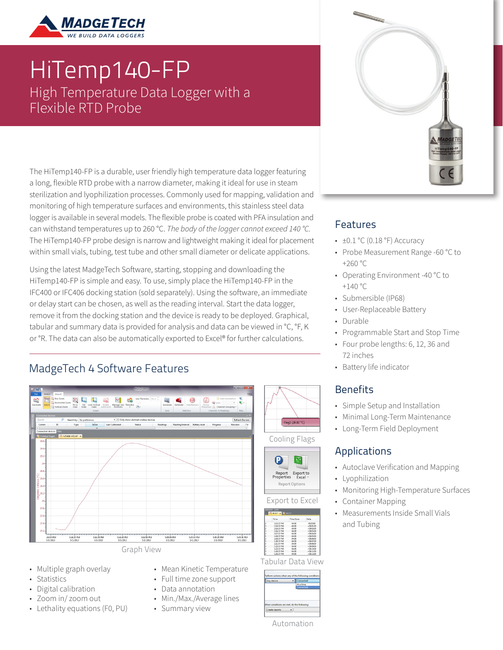

# HiTemp140-FP High Temperature Data Logger with a Flexible RTD Probe

The HiTemp140-FP is a durable, user friendly high temperature data logger featuring a long, flexible RTD probe with a narrow diameter, making it ideal for use in steam sterilization and lyophilization processes. Commonly used for mapping, validation and monitoring of high temperature surfaces and environments, this stainless steel data logger is available in several models. The flexible probe is coated with PFA insulation and can withstand temperatures up to 260 °C. *The body of the logger cannot exceed 140 °C.* The HiTemp140-FP probe design is narrow and lightweight making it ideal for placement within small vials, tubing, test tube and other small diameter or delicate applications.

Using the latest MadgeTech Software, starting, stopping and downloading the HiTemp140-FP is simple and easy. To use, simply place the HiTemp140-FP in the IFC400 or IFC406 docking station (sold separately). Using the software, an immediate or delay start can be chosen, as well as the reading interval. Start the data logger, remove it from the docking station and the device is ready to be deployed. Graphical, tabular and summary data is provided for analysis and data can be viewed in °C, °F, K or °R. The data can also be automatically exported to Excel® for further calculations.

### MadgeTech 4 Software Features



- Multiple graph overlay
- Statistics
- Digital calibration
- Zoom in/ zoom out
- Lethality equations (F0, PU)
- Mean Kinetic Temperature
- Full time zone support
- Data annotation
- Min./Max./Average lines
- Summary view

#### Features

- $\cdot$  ±0.1 °C (0.18 °F) Accuracy
- Probe Measurement Range -60 °C to +260 °C
- Operating Environment -40 °C to  $+140 °C$
- Submersible (IP68)
- User-Replaceable Battery
- Durable
- Programmable Start and Stop Time
- Four probe lengths: 6, 12, 36 and 72 inches
- Battery life indicator

#### **Benefits**

- Simple Setup and Installation
- Minimal Long-Term Maintenance
- Long-Term Field Deployment

#### Applications

- Autoclave Verification and Mapping
- Lyophilization
- Monitoring High-Temperature Surfaces
- Container Mapping
- Measurements Inside Small Vials and Tubing

 $\begin{array}{l} -0.0000 \\ +0.0100 \\ +0.0120 \\ +0.0200 \\ +0.0330 \\ +0.0330 \\ +0.0560 \\ +0.0560 \\ +0.0770 \\ +0.0770 \\ +0.03080 \\ +0.00070 \\ +0.00080 \\ +0.00080 \\ +0.00080 \\ +0.00080 \\ +0.00080 \\ +0.00080 \\ +0.00080 \\ +0.00080 \\ +0.00080 \\ +0.00080 \\ +0.00080 \\ +0.00080 \\ +0.0008$ 

| Any device                                | Connected |
|-------------------------------------------|-----------|
|                                           | At a time |
|                                           | Connected |
|                                           |           |
|                                           |           |
|                                           |           |
|                                           |           |
| hen conditions are met, do the following: |           |

Automation